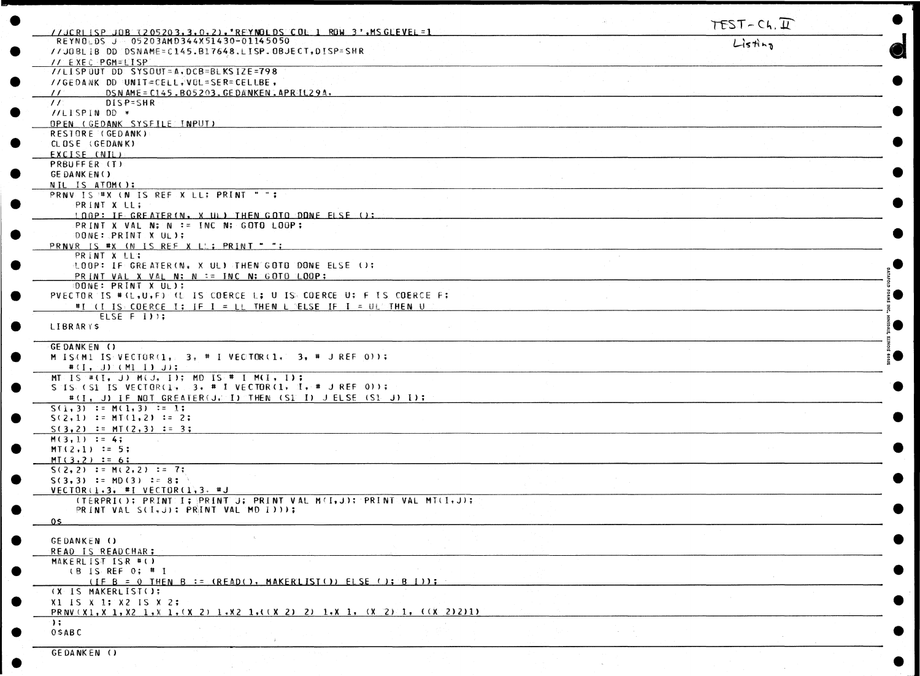| //JCRLISP=JOB=1205203.3.0.2). REYNOLDS=COL 1 ROW 3'.MSGLEVEL=1                  | TEST-Ch. I |
|---------------------------------------------------------------------------------|------------|
| REYNOLDS J 05203AMD344X51430-01145050                                           | $L$ istina |
| //JOBLIB DD DSNAME=C145.B17648.LISP.OBJECT, DISP=SHR                            |            |
| <b>IN EXECPGM=LISP</b>                                                          |            |
| //LISPOUT DD: SYSOUT=A, DCB=BLKSIZE=798                                         |            |
| //GEDANK DD UNIT=CELL#VOL=SER=CELLBE,                                           |            |
| // DSN AME=C145.B05203.GEDANKEN.APRIL29A.                                       |            |
| DISP=SHR<br>II                                                                  |            |
| //LISPIN DD *                                                                   |            |
| OPEN (GEDANK SYSFILE INPUT)                                                     |            |
| RESTORE (GEDANK)                                                                |            |
| CLOSE (GEDANK)                                                                  |            |
| EXCISE (NIL)                                                                    |            |
| PRBUFFER (T)                                                                    |            |
| GE DANK EN()                                                                    |            |
| NIL IS ATOM();                                                                  |            |
| PRNV IS #X (N IS REF X LL; PRINT "";                                            |            |
| PRINT X LL;                                                                     |            |
| LOOP: IF GREATER (N. X UL) THEN GOTO DONE FLSE ():                              |            |
| PRINT X VAL N: N := INC N; GOTO LOOP;                                           |            |
| DONE: PRINT X UL);                                                              |            |
| PRNVR IS #X (N IS REF X LL; PRINT "";                                           |            |
| PRINT X LL:                                                                     |            |
| LOOP: IF GREATER (N. X UL) THEN GOTO DONE ELSE ();                              |            |
| PRINT VAL X VAL N; N := INC N; GOTO LOOP;                                       |            |
| DONE: PRINT X UL);                                                              |            |
| PVECTOR IS #(L,U,F) (U IS COERCE L; U IS COERCE U; F IS COERCE F;               |            |
| #I (I IS COERCE I; IF I = LL THEN L BELSE IF I = UL'THEN U                      |            |
| ELSE F I) ;                                                                     |            |
| LIBRARYS                                                                        |            |
|                                                                                 |            |
| GE DANKEN ()                                                                    |            |
| M IS(M1 IS VECTOR(1, 3, # I VECTOR(1, 3, # J REF 0));                           |            |
| $#(1, 3)$ (M1 1) J);                                                            |            |
| MT IS #(I, J) M(J, I); MD IS # I M(I, I);                                       |            |
| S IS (SI IS VECTOR(1, 3, # I VECTOR(1, I, # J REF 0));                          |            |
| #(I, J) IF NOT GREATER(J, I) THEN (SI I) JELSE (SI J) I);                       |            |
| $S(1,3) := M(1,3) = 1;$                                                         |            |
| $S(2,1) := MT(1,2) := 2;$                                                       |            |
| $S(3,2) := M[(2,3) := 3;$                                                       |            |
| $M(3,1) := 4;$                                                                  |            |
| $MT(2,1) := 5;$                                                                 |            |
| $MT(3,2) := 6;$                                                                 |            |
| $S(2, 2) := M(2, 2) := 7$ ;                                                     |            |
| $S(3,3) := MD(3) := 87$                                                         |            |
| VECTOR(1,3, #I VECTOR(1,3, #J))                                                 |            |
| (TERPRIC); PRINT: I; PRINT U; PRINT VAL M(I, J); PRINT(VAL MT(I, J);            |            |
| PRINT VAL SCI, J): PRINT VAL MD I I I :                                         |            |
| 0 S.                                                                            |            |
|                                                                                 |            |
| GEDANKEN ()                                                                     |            |
| READ IS READCHAR:                                                               |            |
| MAKERLIST ISR #()                                                               |            |
| $(B \t S \t REF \t 0; # I)$                                                     |            |
| (IF B = 0 THEN B := (READ(), MAKERLIST()) ELSE (); B I));                       |            |
| (X IS MAKERLIST();                                                              |            |
| $X1$ IS $X$ 1; $X2$ IS $X$ 2;                                                   |            |
| PRNV(X1, X 1, X2 1, X 1, (X 2) 1, X2 1, ((X 2) 2) 1, X 1, (X 2) 1, ((X 2) 2) 1) |            |
| $\rightarrow$ ;                                                                 |            |
| $0$ \$ A B C                                                                    |            |
|                                                                                 |            |

GEDANKEN ()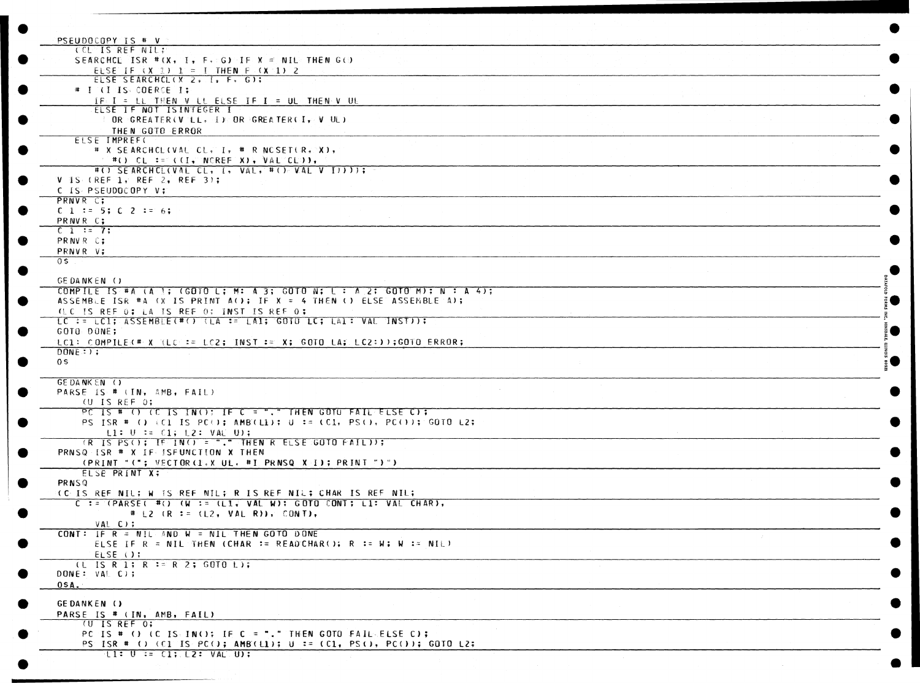| PSEUDOCOPY IS # V<br>CCL IS REF NILT                                               |  |  |
|------------------------------------------------------------------------------------|--|--|
| SEARCHCL ISR # $(X, Y, F, S)$ IF X = NIL THEN G(0)                                 |  |  |
|                                                                                    |  |  |
| ELSE IF $(X, \mathbb{R})$ i = I THEN F $(X, 1)$ 2<br>ELSE SEARCHCL (X 2, I, F, G); |  |  |
|                                                                                    |  |  |
| # I (I IS COERCE I;                                                                |  |  |
| IF I = LL THEN V LL ELSE IF I = UL THEN V UL                                       |  |  |
| ELSE IF NOT ISINTEGER I                                                            |  |  |
| OR GREATER (V LL, I) OR GREATER (I, V UL)                                          |  |  |
| THEN GOTO ERROR                                                                    |  |  |
| ELSE IMPREF(                                                                       |  |  |
| # X SEARCHCL(VAL CL, I, # R NCSET(R, X),                                           |  |  |
| $\rightarrow$ #() CL := ((I, NOREF X), VAL CLD),                                   |  |  |
| #(0) SEARCHCL(VAL CL, I, VAL, #() VAL V I)))); -                                   |  |  |
| $V$ is (REF 1, REF 2, REF 3);                                                      |  |  |
| C IS PSEUDOCOPY V:                                                                 |  |  |
| PRNVR C;                                                                           |  |  |
| $C_1$ 1 := 5; $C_2$ := 6;                                                          |  |  |
| PRNVR C;                                                                           |  |  |
| $C_1 := 7;$                                                                        |  |  |
| PRNVR C;                                                                           |  |  |
| PRNVR V;                                                                           |  |  |
| 05                                                                                 |  |  |
|                                                                                    |  |  |
| GEDANKEN ()                                                                        |  |  |
| COMPILE IS #A (A 1; (GOTO L; M: A 3; GOTO N; L : A 2; GOTO M); N : A 4);           |  |  |
| ASSEMBLE ISR #A (X IS PRINT A(); IF X = 4 THEN () ELSE ASSEMBLE A);                |  |  |
| (LC IS REF 0; LA IS REF 0; INST IS REF 0;                                          |  |  |
| LC := LC1; ASSEMBLE(#() (LA := LA1; GOTO LC; LA1: VAL INST));                      |  |  |
| GOTO DONE;                                                                         |  |  |
|                                                                                    |  |  |
| 'LC1: COMPILEK# X '(LC):= LC2; 'INST := X; GOTO LA; LC2:));GOTO ERROR;             |  |  |
| $DONE:$ $\rightarrow$                                                              |  |  |
| 0 <sup>5</sup>                                                                     |  |  |
|                                                                                    |  |  |
| GE DANKEN ()                                                                       |  |  |
| PARSE IS # (IN, AMB, FAIL)                                                         |  |  |
| (U IS REF 0;                                                                       |  |  |
| PC IS # () (C IS IN(); IF C = "." THEN GOTO FAIL ELSE C) ;                         |  |  |
| PS ISR # () (C1 IS PC(); AMB(L1); U := (C1, PS(), PC()); GOTO L2;                  |  |  |
| $L1: U := C1; L2: VAU U$ ;                                                         |  |  |
| $(R \text{ IS } PS()$ ; $IF \text{ IN}() = "."$ THEN R ELSE GOTO $FAIL)$ ;         |  |  |
| PRNSQ ISR # X IF ISFUNCTION X THEN                                                 |  |  |
| (PRINT " $($ "; VECTOR(1,X UL, #I PRNSQ X:1); PRINT ")")                           |  |  |
| ELSE PRINT X;                                                                      |  |  |
| PRNSQ                                                                              |  |  |
| (C)IS REF NIL: W IS REF NIL: R IS REF NIL: CHAR IS REF NIL:                        |  |  |
| C := (PARSE( $\#$ () (W := (L1, VAL W): GOTO CONT; L1: VAL CHAR),                  |  |  |
| # L2 $(R := (L2, VALR)$ , CONT),                                                   |  |  |
|                                                                                    |  |  |
| VAL C);                                                                            |  |  |
| CONT: IF $R = NIL$ AND $W = NIL$ THEN GOTO DONE                                    |  |  |
| ELSE IF R = NIL THEN (CHAR := READCHAR(); R := W; W := NIL)                        |  |  |
| ELSE ();                                                                           |  |  |
| $(L$ IS R 1; R := R 2; GOTO L);                                                    |  |  |
| DONE: $VAL$ C);                                                                    |  |  |
| $05A$ .                                                                            |  |  |
|                                                                                    |  |  |
| GEDANKEN ()                                                                        |  |  |
| PARSE IS # (IN, AMB, FAIL)                                                         |  |  |
| U IS REF 0;                                                                        |  |  |
| PC IS # () (C IS INC); IF C = "." THEN GOTO FAIL ELSE C);                          |  |  |
|                                                                                    |  |  |
| PS ISR # () (CI IS PC(); AMB(11); U := (C1, PS(), PC()); GOTO L2;                  |  |  |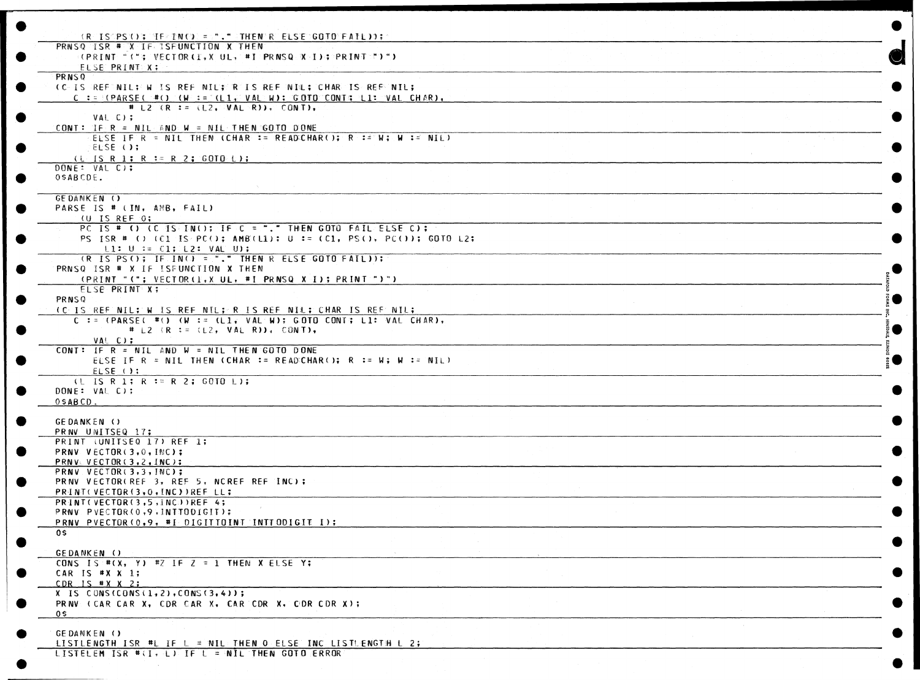| (RUISTPS(); [HFRINC) = ",", " (THENR RUELSE GOTO FAIL));                                         |  |
|--------------------------------------------------------------------------------------------------|--|
| PRNSQ ISR # X IF ISFUNCTION X THEN                                                               |  |
|                                                                                                  |  |
| ELSE PRINT X:                                                                                    |  |
|                                                                                                  |  |
| PRNSQ                                                                                            |  |
| <b>CC-IS REFINIL; W IS REF NIL; R IS REF NIL; CHAR IS REFINIL;</b>                               |  |
| C := $P(RRSE(\theta) (W \cdot s) (L1) (R \cdot s)$ (C T $\theta$ ); C OTO CONT; L I : VAL CHAR), |  |
| # L2 $(R := (L2, WAL \cdot R))$ , CONT),                                                         |  |
| $VAL$ $C$ );                                                                                     |  |
| CONT: IF $R = NIL$ AND $W = NIL$ THEN GOTO DONE                                                  |  |
| ELSE IF R = NIL THEN (CHAR := READCHAR(); R := N; W := NIL)                                      |  |
| ELSE ();                                                                                         |  |
| $(L \text{ is R 1}; R := R 2; GOT0; L);$                                                         |  |
| DONE: VAL C);                                                                                    |  |
| OSABCDE.                                                                                         |  |
|                                                                                                  |  |
|                                                                                                  |  |
| <b>GEDANKEN ()</b>                                                                               |  |
| PARSE IS # (IN, AMB, FAIL)                                                                       |  |
| $(U$ IS REF $0$ ;                                                                                |  |
| PC IS # () (C IS IN(); IF C = "." THEN GOTO FAIL ELSE C);                                        |  |
| PS ISR # () (C1 IS PC(); AMB(L1); U := (C1, PS(), PC()); GOTO L2;                                |  |
| $\lfloor 1: 0 \rfloor := C1; L2: VAU$ U);                                                        |  |
| (R IS PS (); IF IN() = "." THEN R ELSE GOTO FAIL));                                              |  |
| PRNSQ ISR # X IF ISFUNCTION X THEN                                                               |  |
| (PRINT "("; VECTOR(F,X UL, #I PRNSQ X-I); PRINT ")")                                             |  |
| ELSE PRINT X;                                                                                    |  |
| PRNSQ                                                                                            |  |
|                                                                                                  |  |
| (C.IS.REF NIL; W IS REF NIL; R IS REF NIL; CHAR IS REF NIL;                                      |  |
| $C := (PARSE \oplus W)$ (W := (L1, VAL W); GOTO CONT; L1: VAL CHAR),                             |  |
| # L2 $(R = (L2, VAL)$ R) = CONT),                                                                |  |
| VAL C);                                                                                          |  |
| CONT: IF $R = NIL$ AND $W = NIL$ THEN GOTO DONE                                                  |  |
| ELSE IF R = NIL THEN (CHAR := READCHAR(); R := W; W := NIL)                                      |  |
| ELSE ();                                                                                         |  |
| (L IS R 1; R := R 2; GOTO L);                                                                    |  |
| DONE: VAL C);                                                                                    |  |
| $0$ SABCD.                                                                                       |  |
|                                                                                                  |  |
| GEDANKEN ()                                                                                      |  |
| PRAW UNITSEQ 17;                                                                                 |  |
|                                                                                                  |  |
| PRINT (UNITSEQ 17) REF 1;                                                                        |  |
| PRNV VECTOR(3,0, INC);                                                                           |  |
| PRNV&VECTOR(3,2,INC);                                                                            |  |
| PRNV VECTOR(3,3, INC);                                                                           |  |
| PRNV VECTOR(REF 3, REF 5, NCREF REF INC);                                                        |  |
| PRINT(VECTOR(3,0, INC))REF LL;                                                                   |  |
| PRINT(VECTOR(3,5,INC))REF 4;                                                                     |  |
| PRNV PVECTOR(0,9, INTTODIGIT);                                                                   |  |
| PRNV PVECTOR (0,9, #I DIGITTOINT INTIODIGIE I);                                                  |  |
| 0\$                                                                                              |  |
|                                                                                                  |  |
| GEDANKEN ()                                                                                      |  |
| CONS IS # $(X, Y)$ #Z IF Z = 1 THEN X ELSE Y:                                                    |  |
|                                                                                                  |  |
| CAR IS $*X X 1;$                                                                                 |  |
| CDR IS $\#$ X X 2;                                                                               |  |
| $X$ IS CONS(CONS(1,2), CONS(3,4));                                                               |  |
| PRINE CCAR CAR X, CDR CAR X, CAR CDR X, COR CDR X);                                              |  |
| 0 S                                                                                              |  |
|                                                                                                  |  |
| GEDANKEN ()                                                                                      |  |
| LISTLENGTH ISR #L IF L = NIL: THEN O ELSE INC LISTLENGTH L 2;                                    |  |
| LISTELEM ISR $#(1, \pm)$ if $L = MIL$ Then GOTO ERROR                                            |  |
|                                                                                                  |  |
|                                                                                                  |  |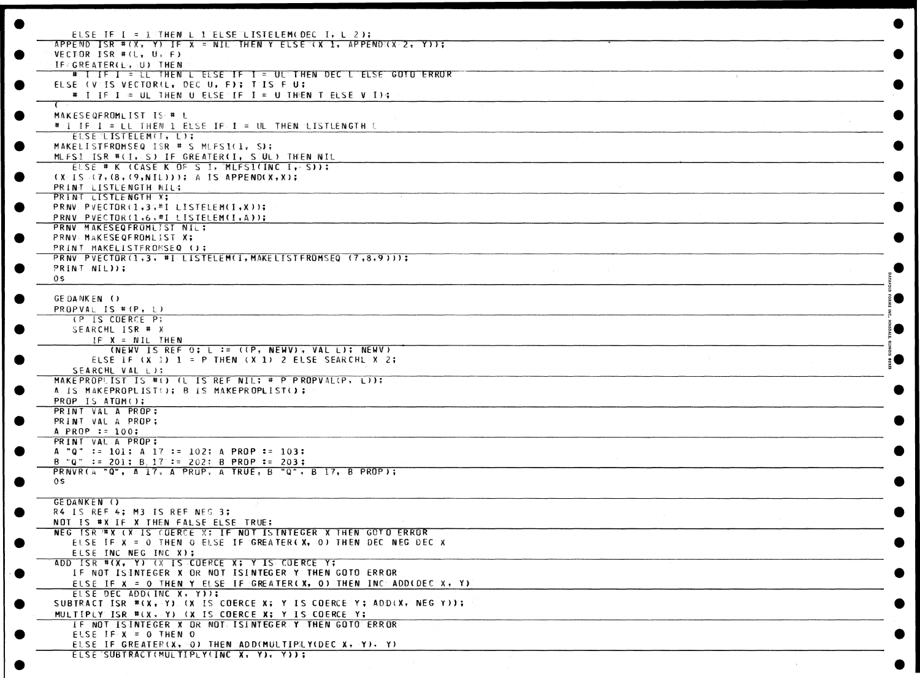| ELSE IF I = 1 THEN L 1 ELSE LISTELEM (DEC I, L 2);                                                                                                                                                                             |                        |  |
|--------------------------------------------------------------------------------------------------------------------------------------------------------------------------------------------------------------------------------|------------------------|--|
| APPEND ISR #(X, Y) IF X = NIL THEN Y ELSE (X 1, APPEND (X 2, Y));                                                                                                                                                              |                        |  |
| $VECDOR$ ISR # $(L, U, F)$                                                                                                                                                                                                     |                        |  |
| IF GREATER(L) U) THEN                                                                                                                                                                                                          |                        |  |
| # I IF I = LL THEN L ELSE IF I = UL THEN DEC L ELSE GOTO ERROR                                                                                                                                                                 |                        |  |
| ELSE (V IS VECTORIL, DEC U, F); T IS F U;                                                                                                                                                                                      |                        |  |
| $#$ I IF I = UL THEN U ELSE IF I = U THEN T ELSE V I);                                                                                                                                                                         |                        |  |
|                                                                                                                                                                                                                                |                        |  |
| MAKESEQFROMLIST IS # L                                                                                                                                                                                                         |                        |  |
| # I IF I # LL THEN I EUSE IF I # UL THEN LISTUENGTH L                                                                                                                                                                          |                        |  |
| ELSE LISTELEM(I, L);<br>MAKELISTEROMSEQ ISR # S MLFS1(1, S);                                                                                                                                                                   |                        |  |
| MUFS1 ISR #(I, S) IF GREATER(I, SUUL) THEN NIL                                                                                                                                                                                 |                        |  |
| ELSE # K (CASE K OF S I, CMLFSI(INC I, S));                                                                                                                                                                                    |                        |  |
| $(1 - 1)$ $(7, 1)$ $(8, 1)$ $(9, 1)$ $(1)$ $(2)$ $(4)$ $(5)$ $(8)$ $(9)$ $(1)$ $(2)$ $(3)$ $(4)$ $(5)$ $(8)$ $(9)$ $(1)$ $(2)$ $(3)$ $(4)$ $(5)$ $(8)$ $(9)$ $(1)$ $(2)$ $(3)$ $(4)$ $(5)$ $(8)$ $(9)$ $(1)$ $(2)$ $(3)$ $(4)$ |                        |  |
| PRINT LISTUENGTH BIL4                                                                                                                                                                                                          |                        |  |
| PRINT LISTLENGTH X;                                                                                                                                                                                                            |                        |  |
| PRNV PVECTOR(1,3,#ILISTELEM(I,X));                                                                                                                                                                                             |                        |  |
| PRNV PVECTOR(1,6;#I LISTELEM(I,A));                                                                                                                                                                                            |                        |  |
| PRNV MAKESEQFROMLIST NIL;                                                                                                                                                                                                      |                        |  |
| PRNV MAKESEQFROMLIST X;                                                                                                                                                                                                        |                        |  |
| PRINT MAKELISTFROMSEQ ();                                                                                                                                                                                                      |                        |  |
| PRNV PVECTOR(1,3, #ILISTELEM(I, MAKELISTEROMSEQ (7,8,9)));                                                                                                                                                                     |                        |  |
| PRINT NIL));                                                                                                                                                                                                                   | and the company of the |  |
| 0\$                                                                                                                                                                                                                            |                        |  |
|                                                                                                                                                                                                                                |                        |  |
| GE DANKEN ()                                                                                                                                                                                                                   |                        |  |
| PROPVAL IS $\#$ (P, L)                                                                                                                                                                                                         |                        |  |
| (P IS COERCE P;                                                                                                                                                                                                                |                        |  |
| SEARCHL ISR # X                                                                                                                                                                                                                |                        |  |
| $IP$ $X = NIL$ THEN                                                                                                                                                                                                            |                        |  |
| (NEWV IS REF 0; L := ((P, NEWV), VAL L); NEWV)<br>ELSE IF $(X, 1)$ 1 = P THEN $(X, 1)$ 2 ELSE SEARCHL X 2;                                                                                                                     |                        |  |
| SEARCHL VAL LIT                                                                                                                                                                                                                |                        |  |
| MAKEPROPLIST IS #() (L IS REF NIL; # P PROPVAL(P, L));                                                                                                                                                                         |                        |  |
| A IS MAKEPROPLIST(); B IS MAKEPROPLIST();                                                                                                                                                                                      |                        |  |
| PROP IS ATOM();                                                                                                                                                                                                                |                        |  |
| PRINT VAL A PROP:                                                                                                                                                                                                              |                        |  |
| PRINT VAL A PROP;                                                                                                                                                                                                              |                        |  |
| A PROP := $100$ ;                                                                                                                                                                                                              |                        |  |
| PRINT VAL A PROP:                                                                                                                                                                                                              |                        |  |
| A "Q" := 101; A 17 := 102; A PROP := 103;                                                                                                                                                                                      |                        |  |
| B "Q" := 201; B, 17 := 202; B PROP := 203;                                                                                                                                                                                     |                        |  |
| PRNVR(A "Q", A 17, A PRUP, A TRUE, B "Q", B 17, B PROP);                                                                                                                                                                       |                        |  |
| 0 S .                                                                                                                                                                                                                          |                        |  |
|                                                                                                                                                                                                                                |                        |  |
| <b>GEDANKEN ()</b>                                                                                                                                                                                                             |                        |  |
| R4 IS REF 4; M3 IS REF NEG 3;                                                                                                                                                                                                  |                        |  |
| NOT IS #X IF X THEN FALSE ELSE TRUE;                                                                                                                                                                                           |                        |  |
| NEG ISR #X (X IS COERCE X; IF NOT ISINTEGER X THEN GOTO ERROR                                                                                                                                                                  |                        |  |
| ELSE IF X = 0 THEN O ELSE IF GREATER(X, 0) THEN DEC NEG DEC X                                                                                                                                                                  |                        |  |
| ELSE INC NEG INC X);<br>ADD ISR #(X, Y) (X IS COERCE X; Y IS COERCE Y;                                                                                                                                                         |                        |  |
| IF NOT ISINTEGER X OR NOT ISINTEGER Y THEN GOTO ERROR                                                                                                                                                                          |                        |  |
| ELSE IF X = 0 THEN Y ELSE IF GREATER(X, 0) THEN INC ADD(DEC X, Y)                                                                                                                                                              |                        |  |
| ELSE DEC ADD(INC X, Y));                                                                                                                                                                                                       |                        |  |
| SUBTRACT ISR #(X, Y) (X IS COERCE X; Y IS COERCE Y; ADD(X, NEG Y));                                                                                                                                                            |                        |  |
|                                                                                                                                                                                                                                |                        |  |
| MULTIPLY ISR #(X, Y) (X IS COERCE X; Y IS COERCE Y;<br>IF NOT ISINTEGER X OR NOT ISINTEGER Y THEN GOTO ERROR                                                                                                                   |                        |  |
| ELSE IF $X = 0$ THEN O                                                                                                                                                                                                         |                        |  |
| ELSE IF GREATER(X, 00) THEN ADD(MULTIPLY(DEC X, Y), Y)                                                                                                                                                                         |                        |  |
| ELSE SUBTRACT(MULTIPLY(INC X, Y), Y));                                                                                                                                                                                         |                        |  |
|                                                                                                                                                                                                                                |                        |  |